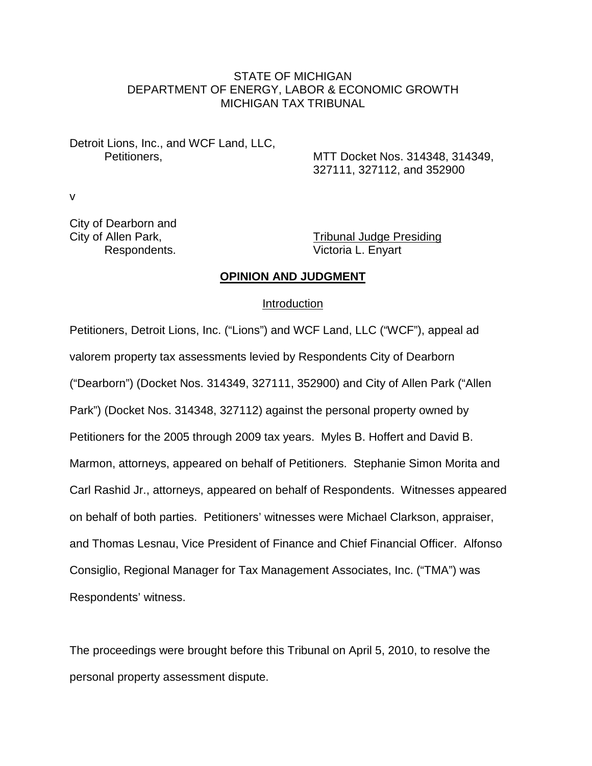## STATE OF MICHIGAN DEPARTMENT OF ENERGY, LABOR & ECONOMIC GROWTH MICHIGAN TAX TRIBUNAL

Detroit Lions, Inc., and WCF Land, LLC,

Petitioners, MTT Docket Nos. 314348, 314349, 327111, 327112, and 352900

v

City of Dearborn and

City of Allen Park, Tribunal Judge Presiding Respondents. Victoria L. Enyart

## **OPINION AND JUDGMENT**

#### Introduction

Petitioners, Detroit Lions, Inc. ("Lions") and WCF Land, LLC ("WCF"), appeal ad valorem property tax assessments levied by Respondents City of Dearborn ("Dearborn") (Docket Nos. 314349, 327111, 352900) and City of Allen Park ("Allen Park") (Docket Nos. 314348, 327112) against the personal property owned by Petitioners for the 2005 through 2009 tax years. Myles B. Hoffert and David B. Marmon, attorneys, appeared on behalf of Petitioners. Stephanie Simon Morita and Carl Rashid Jr., attorneys, appeared on behalf of Respondents. Witnesses appeared on behalf of both parties. Petitioners' witnesses were Michael Clarkson, appraiser, and Thomas Lesnau, Vice President of Finance and Chief Financial Officer. Alfonso Consiglio, Regional Manager for Tax Management Associates, Inc. ("TMA") was Respondents' witness.

The proceedings were brought before this Tribunal on April 5, 2010, to resolve the personal property assessment dispute.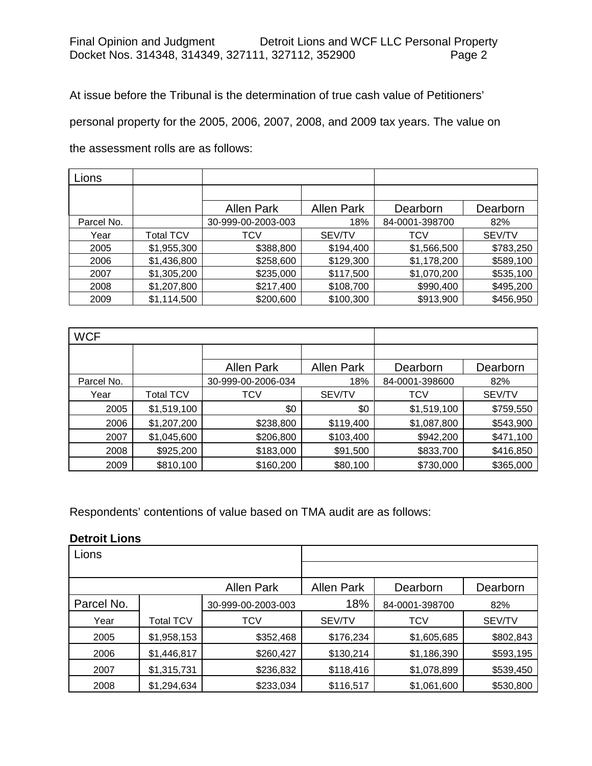At issue before the Tribunal is the determination of true cash value of Petitioners'

personal property for the 2005, 2006, 2007, 2008, and 2009 tax years. The value on

the assessment rolls are as follows:

| Lions      |             |                    |                   |                |               |
|------------|-------------|--------------------|-------------------|----------------|---------------|
|            |             |                    |                   |                |               |
|            |             | <b>Allen Park</b>  | <b>Allen Park</b> | Dearborn       | Dearborn      |
| Parcel No. |             | 30-999-00-2003-003 | 18%               | 84-0001-398700 | 82%           |
| Year       | Total TCV   | TCV                | SEV/TV            | TCV            | <b>SEV/TV</b> |
| 2005       | \$1,955,300 | \$388,800          | \$194,400         | \$1,566,500    | \$783,250     |
| 2006       | \$1,436,800 | \$258,600          | \$129,300         | \$1,178,200    | \$589,100     |
| 2007       | \$1,305,200 | \$235,000          | \$117,500         | \$1,070,200    | \$535,100     |
| 2008       | \$1,207,800 | \$217,400          | \$108,700         | \$990,400      | \$495,200     |
| 2009       | \$1,114,500 | \$200,600          | \$100,300         | \$913,900      | \$456,950     |

| <b>WCF</b> |                  |                    |                   |             |           |
|------------|------------------|--------------------|-------------------|-------------|-----------|
|            |                  |                    |                   |             |           |
|            |                  | <b>Allen Park</b>  | <b>Allen Park</b> | Dearborn    | Dearborn  |
| Parcel No. |                  | 30-999-00-2006-034 | 18%               |             | 82%       |
| Year       | <b>Total TCV</b> | TCV                | SEV/TV            | <b>TCV</b>  | SEV/TV    |
| 2005       | \$1,519,100      | \$0                | \$0               | \$1,519,100 | \$759,550 |
| 2006       | \$1,207,200      | \$238,800          | \$119,400         | \$1,087,800 | \$543,900 |
| 2007       | \$1,045,600      | \$206,800          | \$103,400         | \$942,200   | \$471,100 |
| 2008       | \$925,200        | \$183,000          | \$91,500          | \$833,700   | \$416,850 |
| 2009       | \$810,100        | \$160,200          | \$80,100          | \$730,000   | \$365,000 |

Respondents' contentions of value based on TMA audit are as follows:

## **Detroit Lions**

| Lions      |             |                    |                   |                |           |
|------------|-------------|--------------------|-------------------|----------------|-----------|
|            |             |                    |                   |                |           |
|            |             | Allen Park         | <b>Allen Park</b> | Dearborn       | Dearborn  |
| Parcel No. |             | 30-999-00-2003-003 | 18%               | 84-0001-398700 | 82%       |
| Year       | Total TCV   | TCV                | SEV/TV            | <b>TCV</b>     | SEV/TV    |
| 2005       | \$1,958,153 | \$352,468          | \$176,234         | \$1,605,685    | \$802,843 |
| 2006       | \$1,446,817 | \$260,427          | \$130,214         | \$1,186,390    | \$593,195 |
| 2007       | \$1,315,731 | \$236,832          | \$118,416         | \$1,078,899    | \$539,450 |
| 2008       | \$1,294,634 | \$233,034          | \$116,517         | \$1,061,600    | \$530,800 |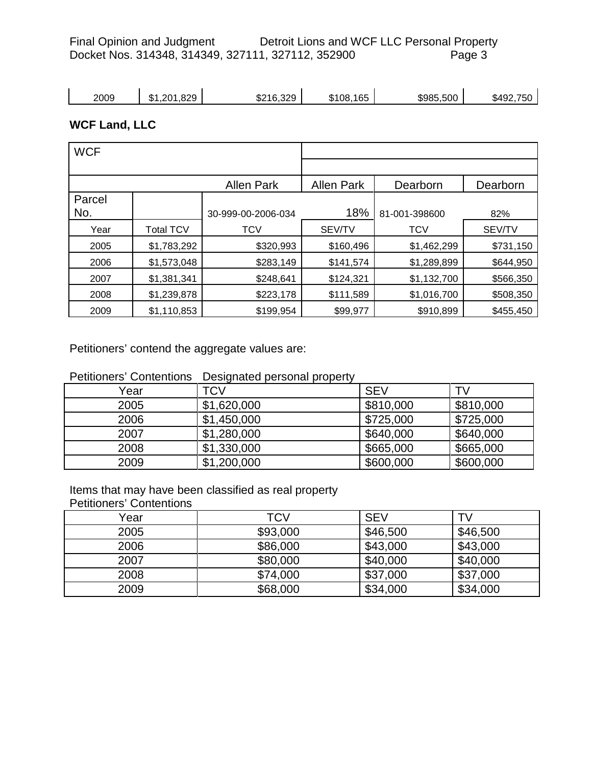Final Opinion and Judgment Detroit Lions and WCF LLC Personal Property<br>Docket Nos. 314348, 314349, 327111, 327112, 352900 Page 3 Docket Nos. 314348, 314349, 327111, 327112, 352900

| 2009<br>۰D | 1,201,829<br>ሰ 4 | \$216,329 | .165<br>\$108. | \$985,500 | \$492,750 |
|------------|------------------|-----------|----------------|-----------|-----------|
|------------|------------------|-----------|----------------|-----------|-----------|

# **WCF Land, LLC**

| <b>WCF</b> |             |                    |                   |               |               |
|------------|-------------|--------------------|-------------------|---------------|---------------|
|            |             |                    |                   |               |               |
|            |             | <b>Allen Park</b>  | <b>Allen Park</b> | Dearborn      | Dearborn      |
| Parcel     |             |                    |                   |               |               |
| No.        |             | 30-999-00-2006-034 | 18%               | 81-001-398600 | 82%           |
| Year       | Total TCV   | <b>TCV</b>         | SEV/TV            | <b>TCV</b>    | <b>SEV/TV</b> |
| 2005       | \$1,783,292 | \$320,993          | \$160,496         | \$1,462,299   | \$731,150     |
| 2006       | \$1,573,048 | \$283,149          | \$141,574         | \$1,289,899   | \$644,950     |
| 2007       | \$1,381,341 | \$248,641          | \$124,321         | \$1,132,700   | \$566,350     |
| 2008       | \$1,239,878 | \$223,178          | \$111,589         | \$1,016,700   | \$508,350     |
| 2009       | \$1,110,853 | \$199,954          | \$99,977          | \$910,899     | \$455,450     |

Petitioners' contend the aggregate values are:

| Petitioners' Contentions Designated personal property |  |  |  |  |
|-------------------------------------------------------|--|--|--|--|
|-------------------------------------------------------|--|--|--|--|

| Year | TCV         | <b>SEV</b> | TV        |
|------|-------------|------------|-----------|
| 2005 | \$1,620,000 | \$810,000  | \$810,000 |
| 2006 | \$1,450,000 | \$725,000  | \$725,000 |
| 2007 | \$1,280,000 | \$640,000  | \$640,000 |
| 2008 | \$1,330,000 | \$665,000  | \$665,000 |
| 2009 | \$1,200,000 | \$600,000  | \$600,000 |

Items that may have been classified as real property

Petitioners' Contentions

| Year | TCV      | <b>SEV</b> | TV       |
|------|----------|------------|----------|
| 2005 | \$93,000 | \$46,500   | \$46,500 |
| 2006 | \$86,000 | \$43,000   | \$43,000 |
| 2007 | \$80,000 | \$40,000   | \$40,000 |
| 2008 | \$74,000 | \$37,000   | \$37,000 |
| 2009 | \$68,000 | \$34,000   | \$34,000 |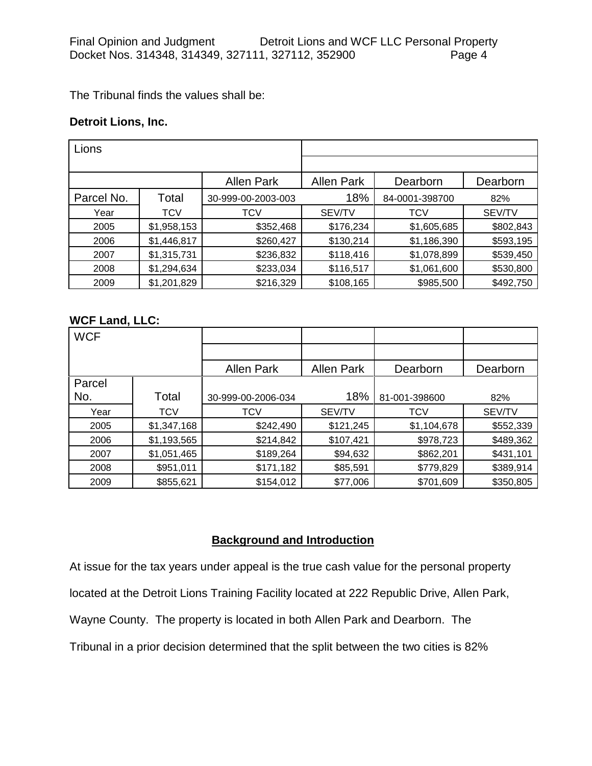The Tribunal finds the values shall be:

### **Detroit Lions, Inc.**

| Lions      |             |                    |                   |                |               |
|------------|-------------|--------------------|-------------------|----------------|---------------|
|            |             |                    |                   |                |               |
|            |             | <b>Allen Park</b>  | <b>Allen Park</b> | Dearborn       | Dearborn      |
| Parcel No. | Total       | 30-999-00-2003-003 | 18%               | 84-0001-398700 | 82%           |
| Year       | <b>TCV</b>  | TCV                | <b>SEV/TV</b>     | <b>TCV</b>     | <b>SEV/TV</b> |
| 2005       | \$1,958,153 | \$352,468          | \$176,234         | \$1,605,685    | \$802,843     |
| 2006       | \$1,446,817 | \$260,427          | \$130,214         | \$1,186,390    | \$593,195     |
| 2007       | \$1,315,731 | \$236,832          | \$118,416         | \$1,078,899    | \$539,450     |
| 2008       | \$1,294,634 | \$233,034          | \$116,517         | \$1,061,600    | \$530,800     |
| 2009       | \$1,201,829 | \$216,329          | \$108,165         | \$985,500      | \$492,750     |

## **WCF Land, LLC:**

| <b>WCF</b> |             |                    |                   |               |               |
|------------|-------------|--------------------|-------------------|---------------|---------------|
|            |             |                    |                   |               |               |
|            |             | <b>Allen Park</b>  | <b>Allen Park</b> | Dearborn      | Dearborn      |
| Parcel     |             |                    |                   |               |               |
| No.        | Total       | 30-999-00-2006-034 | 18%               | 81-001-398600 | 82%           |
| Year       | TCV         | <b>TCV</b>         | SEV/TV            | <b>TCV</b>    | <b>SEV/TV</b> |
| 2005       | \$1,347,168 | \$242,490          | \$121,245         | \$1,104,678   | \$552,339     |
| 2006       | \$1,193,565 | \$214,842          | \$107,421         | \$978,723     | \$489,362     |
| 2007       | \$1,051,465 | \$189,264          | \$94,632          | \$862,201     | \$431,101     |
| 2008       | \$951,011   | \$171,182          | \$85,591          | \$779,829     | \$389,914     |
| 2009       | \$855,621   | \$154,012          | \$77,006          | \$701,609     | \$350,805     |

# **Background and Introduction**

At issue for the tax years under appeal is the true cash value for the personal property located at the Detroit Lions Training Facility located at 222 Republic Drive, Allen Park, Wayne County. The property is located in both Allen Park and Dearborn. The Tribunal in a prior decision determined that the split between the two cities is 82%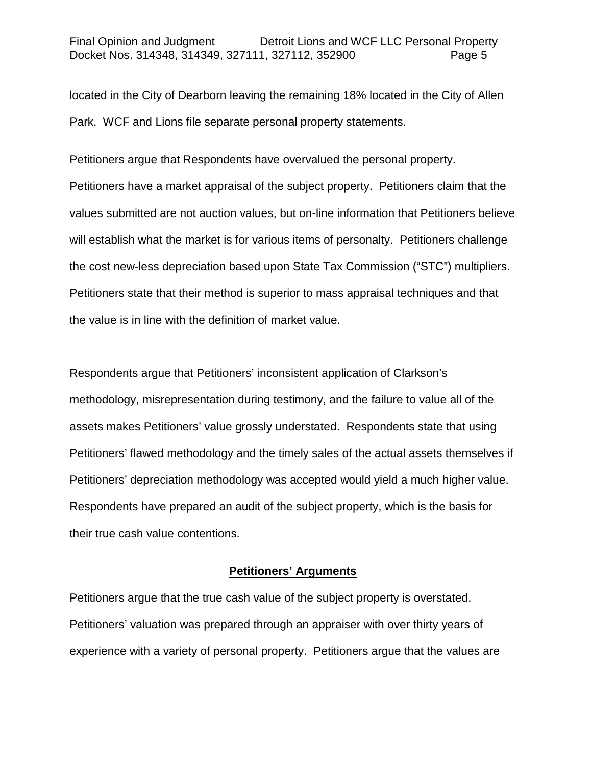located in the City of Dearborn leaving the remaining 18% located in the City of Allen Park. WCF and Lions file separate personal property statements.

Petitioners argue that Respondents have overvalued the personal property. Petitioners have a market appraisal of the subject property. Petitioners claim that the values submitted are not auction values, but on-line information that Petitioners believe will establish what the market is for various items of personalty. Petitioners challenge the cost new-less depreciation based upon State Tax Commission ("STC") multipliers. Petitioners state that their method is superior to mass appraisal techniques and that the value is in line with the definition of market value.

Respondents argue that Petitioners' inconsistent application of Clarkson's methodology, misrepresentation during testimony, and the failure to value all of the assets makes Petitioners' value grossly understated. Respondents state that using Petitioners' flawed methodology and the timely sales of the actual assets themselves if Petitioners' depreciation methodology was accepted would yield a much higher value. Respondents have prepared an audit of the subject property, which is the basis for their true cash value contentions.

## **Petitioners' Arguments**

Petitioners argue that the true cash value of the subject property is overstated. Petitioners' valuation was prepared through an appraiser with over thirty years of experience with a variety of personal property. Petitioners argue that the values are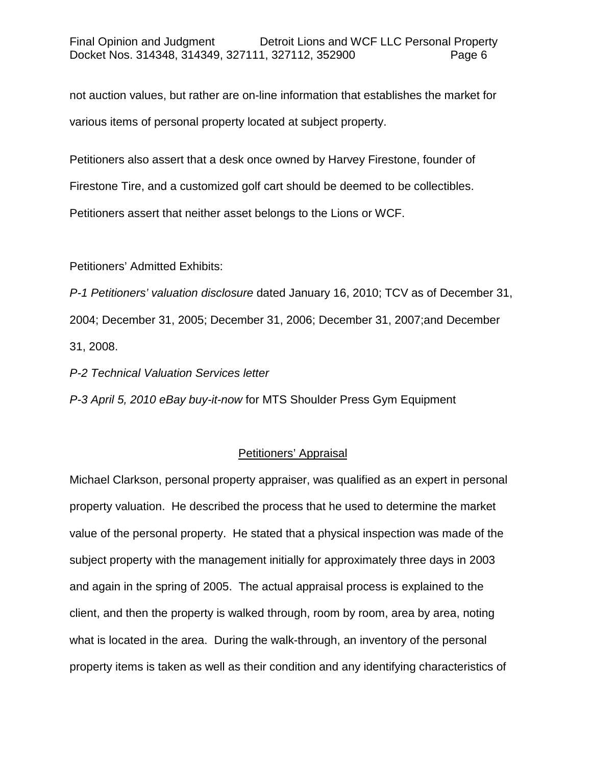not auction values, but rather are on-line information that establishes the market for various items of personal property located at subject property.

Petitioners also assert that a desk once owned by Harvey Firestone, founder of

Firestone Tire, and a customized golf cart should be deemed to be collectibles.

Petitioners assert that neither asset belongs to the Lions or WCF.

Petitioners' Admitted Exhibits:

*P-1 Petitioners' valuation disclosure* dated January 16, 2010; TCV as of December 31, 2004; December 31, 2005; December 31, 2006; December 31, 2007;and December 31, 2008.

*P-2 Technical Valuation Services letter*

*P-3 April 5, 2010 eBay buy-it-now* for MTS Shoulder Press Gym Equipment

## Petitioners' Appraisal

Michael Clarkson, personal property appraiser, was qualified as an expert in personal property valuation. He described the process that he used to determine the market value of the personal property. He stated that a physical inspection was made of the subject property with the management initially for approximately three days in 2003 and again in the spring of 2005. The actual appraisal process is explained to the client, and then the property is walked through, room by room, area by area, noting what is located in the area. During the walk-through, an inventory of the personal property items is taken as well as their condition and any identifying characteristics of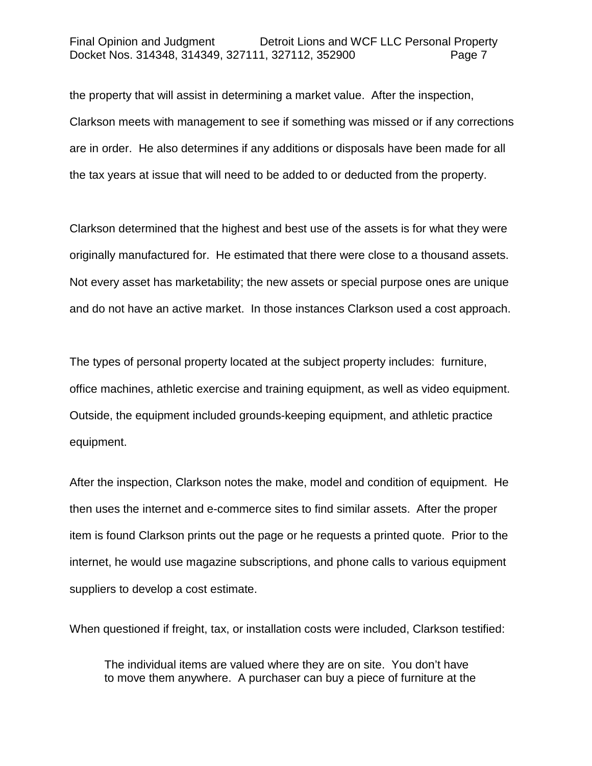#### Final Opinion and Judgment Detroit Lions and WCF LLC Personal Property Docket Nos. 314348, 314349, 327111, 327112, 352900 Page 7

the property that will assist in determining a market value. After the inspection, Clarkson meets with management to see if something was missed or if any corrections are in order. He also determines if any additions or disposals have been made for all the tax years at issue that will need to be added to or deducted from the property.

Clarkson determined that the highest and best use of the assets is for what they were originally manufactured for. He estimated that there were close to a thousand assets. Not every asset has marketability; the new assets or special purpose ones are unique and do not have an active market. In those instances Clarkson used a cost approach.

The types of personal property located at the subject property includes: furniture, office machines, athletic exercise and training equipment, as well as video equipment. Outside, the equipment included grounds-keeping equipment, and athletic practice equipment.

After the inspection, Clarkson notes the make, model and condition of equipment. He then uses the internet and e-commerce sites to find similar assets. After the proper item is found Clarkson prints out the page or he requests a printed quote. Prior to the internet, he would use magazine subscriptions, and phone calls to various equipment suppliers to develop a cost estimate.

When questioned if freight, tax, or installation costs were included, Clarkson testified:

The individual items are valued where they are on site. You don't have to move them anywhere. A purchaser can buy a piece of furniture at the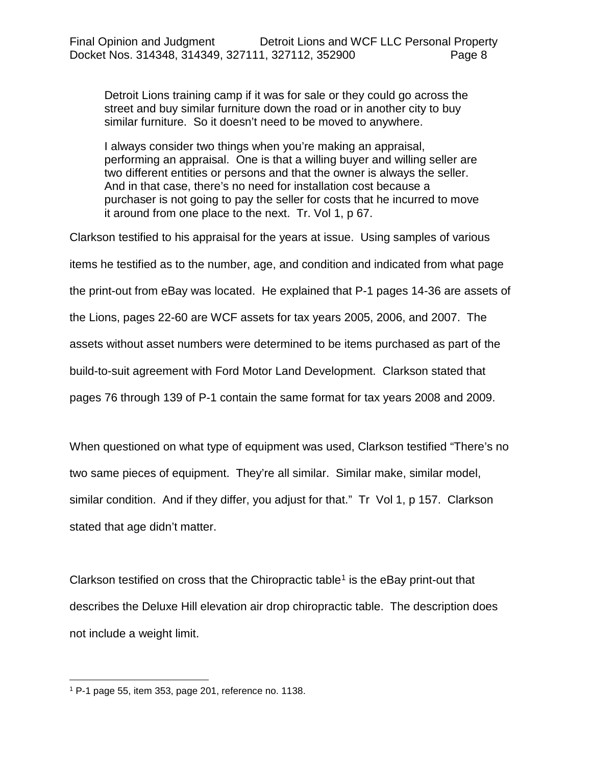Detroit Lions training camp if it was for sale or they could go across the street and buy similar furniture down the road or in another city to buy similar furniture. So it doesn't need to be moved to anywhere.

I always consider two things when you're making an appraisal, performing an appraisal. One is that a willing buyer and willing seller are two different entities or persons and that the owner is always the seller. And in that case, there's no need for installation cost because a purchaser is not going to pay the seller for costs that he incurred to move it around from one place to the next. Tr. Vol 1, p 67.

Clarkson testified to his appraisal for the years at issue. Using samples of various items he testified as to the number, age, and condition and indicated from what page the print-out from eBay was located. He explained that P-1 pages 14-36 are assets of the Lions, pages 22-60 are WCF assets for tax years 2005, 2006, and 2007. The assets without asset numbers were determined to be items purchased as part of the build-to-suit agreement with Ford Motor Land Development. Clarkson stated that pages 76 through 139 of P-1 contain the same format for tax years 2008 and 2009.

When questioned on what type of equipment was used, Clarkson testified "There's no two same pieces of equipment. They're all similar. Similar make, similar model, similar condition. And if they differ, you adjust for that." Tr Vol 1, p 157. Clarkson stated that age didn't matter.

Clarkson testified on cross that the Chiropractic table<sup>[1](#page-7-0)</sup> is the eBay print-out that describes the Deluxe Hill elevation air drop chiropractic table. The description does not include a weight limit.

<span id="page-7-0"></span> <sup>1</sup> P-1 page 55, item 353, page 201, reference no. 1138.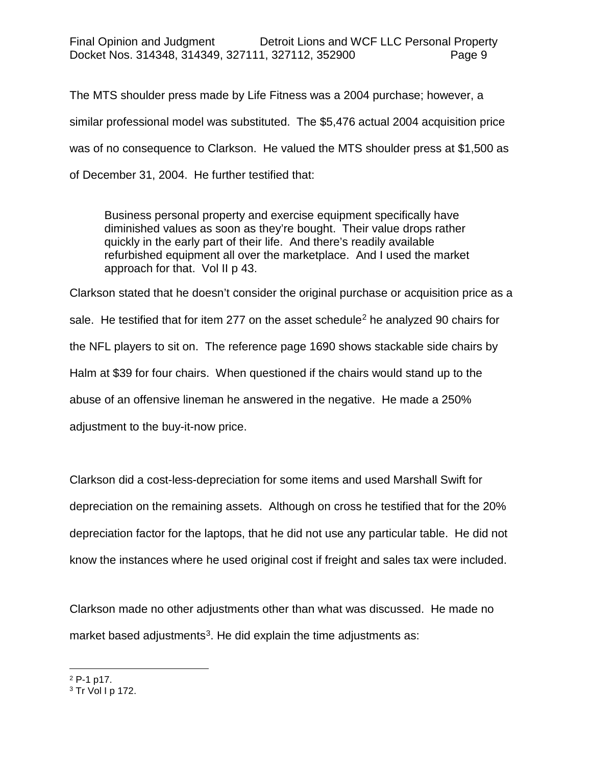The MTS shoulder press made by Life Fitness was a 2004 purchase; however, a similar professional model was substituted. The \$5,476 actual 2004 acquisition price was of no consequence to Clarkson. He valued the MTS shoulder press at \$1,500 as of December 31, 2004. He further testified that:

Business personal property and exercise equipment specifically have diminished values as soon as they're bought. Their value drops rather quickly in the early part of their life. And there's readily available refurbished equipment all over the marketplace. And I used the market approach for that. Vol II p 43.

Clarkson stated that he doesn't consider the original purchase or acquisition price as a sale. He testified that for item [2](#page-8-0)77 on the asset schedule<sup>2</sup> he analyzed 90 chairs for the NFL players to sit on. The reference page 1690 shows stackable side chairs by Halm at \$39 for four chairs. When questioned if the chairs would stand up to the abuse of an offensive lineman he answered in the negative. He made a 250% adjustment to the buy-it-now price.

Clarkson did a cost-less-depreciation for some items and used Marshall Swift for depreciation on the remaining assets. Although on cross he testified that for the 20% depreciation factor for the laptops, that he did not use any particular table. He did not know the instances where he used original cost if freight and sales tax were included.

Clarkson made no other adjustments other than what was discussed. He made no market based adjustments<sup>3</sup>. He did explain the time adjustments as:

<span id="page-8-0"></span> <sup>2</sup> P-1 p17.

<span id="page-8-1"></span> $3$  Tr Vol I p 172.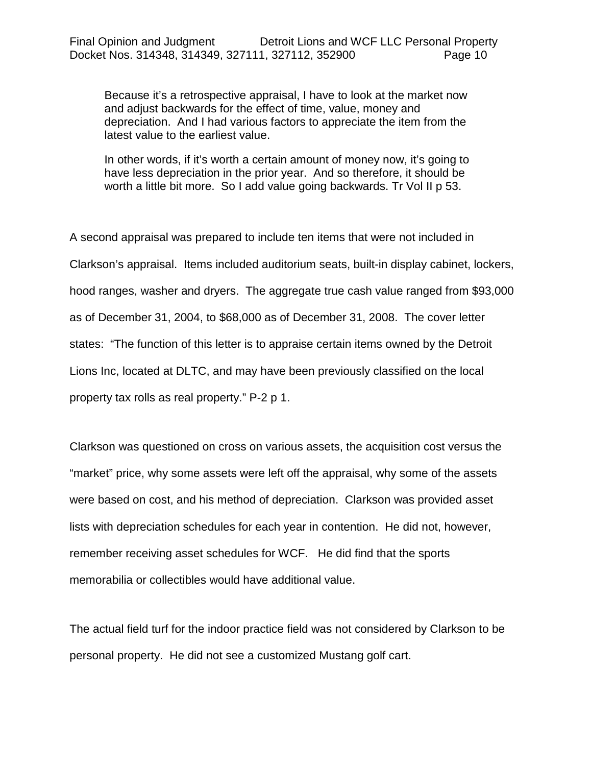Because it's a retrospective appraisal, I have to look at the market now and adjust backwards for the effect of time, value, money and depreciation. And I had various factors to appreciate the item from the latest value to the earliest value.

In other words, if it's worth a certain amount of money now, it's going to have less depreciation in the prior year. And so therefore, it should be worth a little bit more. So I add value going backwards. Tr Vol II p 53.

A second appraisal was prepared to include ten items that were not included in Clarkson's appraisal. Items included auditorium seats, built-in display cabinet, lockers, hood ranges, washer and dryers. The aggregate true cash value ranged from \$93,000 as of December 31, 2004, to \$68,000 as of December 31, 2008. The cover letter states: "The function of this letter is to appraise certain items owned by the Detroit Lions Inc, located at DLTC, and may have been previously classified on the local property tax rolls as real property." P-2 p 1.

Clarkson was questioned on cross on various assets, the acquisition cost versus the "market" price, why some assets were left off the appraisal, why some of the assets were based on cost, and his method of depreciation. Clarkson was provided asset lists with depreciation schedules for each year in contention. He did not, however, remember receiving asset schedules for WCF. He did find that the sports memorabilia or collectibles would have additional value.

The actual field turf for the indoor practice field was not considered by Clarkson to be personal property. He did not see a customized Mustang golf cart.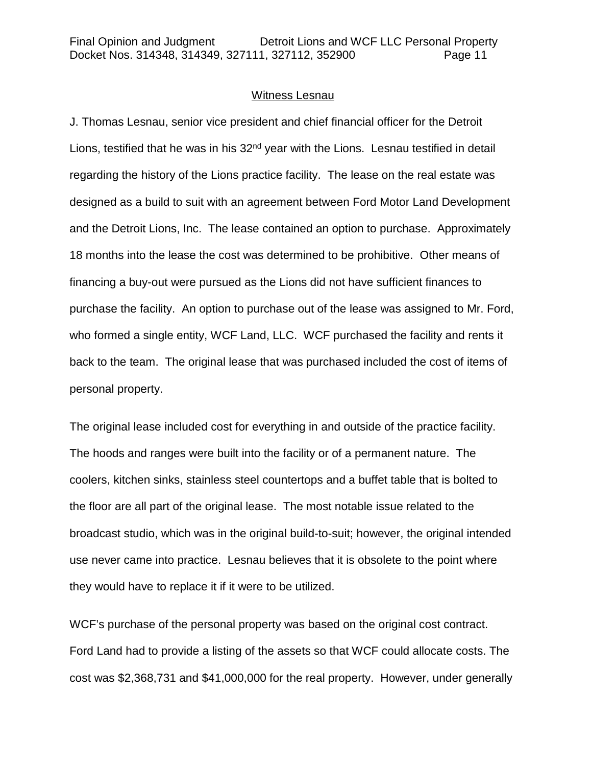#### Witness Lesnau

J. Thomas Lesnau, senior vice president and chief financial officer for the Detroit Lions, testified that he was in his  $32<sup>nd</sup>$  year with the Lions. Lesnau testified in detail regarding the history of the Lions practice facility. The lease on the real estate was designed as a build to suit with an agreement between Ford Motor Land Development and the Detroit Lions, Inc. The lease contained an option to purchase. Approximately 18 months into the lease the cost was determined to be prohibitive. Other means of financing a buy-out were pursued as the Lions did not have sufficient finances to purchase the facility. An option to purchase out of the lease was assigned to Mr. Ford, who formed a single entity, WCF Land, LLC. WCF purchased the facility and rents it back to the team. The original lease that was purchased included the cost of items of personal property.

The original lease included cost for everything in and outside of the practice facility. The hoods and ranges were built into the facility or of a permanent nature. The coolers, kitchen sinks, stainless steel countertops and a buffet table that is bolted to the floor are all part of the original lease. The most notable issue related to the broadcast studio, which was in the original build-to-suit; however, the original intended use never came into practice. Lesnau believes that it is obsolete to the point where they would have to replace it if it were to be utilized.

WCF's purchase of the personal property was based on the original cost contract. Ford Land had to provide a listing of the assets so that WCF could allocate costs. The cost was \$2,368,731 and \$41,000,000 for the real property. However, under generally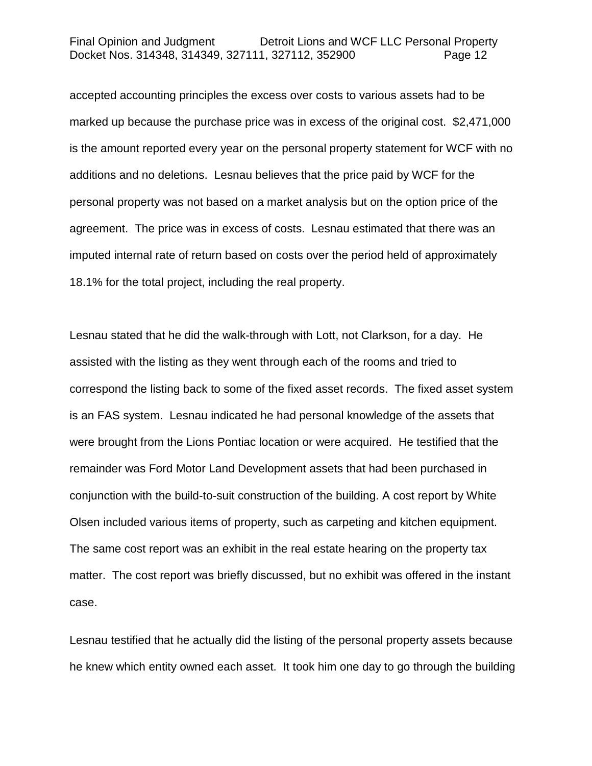accepted accounting principles the excess over costs to various assets had to be marked up because the purchase price was in excess of the original cost. \$2,471,000 is the amount reported every year on the personal property statement for WCF with no additions and no deletions. Lesnau believes that the price paid by WCF for the personal property was not based on a market analysis but on the option price of the agreement. The price was in excess of costs. Lesnau estimated that there was an imputed internal rate of return based on costs over the period held of approximately 18.1% for the total project, including the real property.

Lesnau stated that he did the walk-through with Lott, not Clarkson, for a day. He assisted with the listing as they went through each of the rooms and tried to correspond the listing back to some of the fixed asset records. The fixed asset system is an FAS system. Lesnau indicated he had personal knowledge of the assets that were brought from the Lions Pontiac location or were acquired. He testified that the remainder was Ford Motor Land Development assets that had been purchased in conjunction with the build-to-suit construction of the building. A cost report by White Olsen included various items of property, such as carpeting and kitchen equipment. The same cost report was an exhibit in the real estate hearing on the property tax matter. The cost report was briefly discussed, but no exhibit was offered in the instant case.

Lesnau testified that he actually did the listing of the personal property assets because he knew which entity owned each asset. It took him one day to go through the building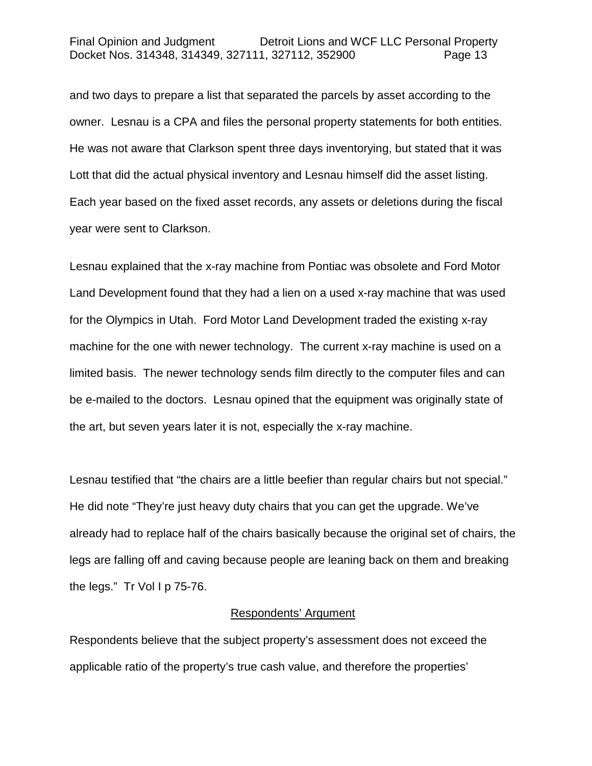and two days to prepare a list that separated the parcels by asset according to the owner. Lesnau is a CPA and files the personal property statements for both entities. He was not aware that Clarkson spent three days inventorying, but stated that it was Lott that did the actual physical inventory and Lesnau himself did the asset listing. Each year based on the fixed asset records, any assets or deletions during the fiscal year were sent to Clarkson.

Lesnau explained that the x-ray machine from Pontiac was obsolete and Ford Motor Land Development found that they had a lien on a used x-ray machine that was used for the Olympics in Utah. Ford Motor Land Development traded the existing x-ray machine for the one with newer technology. The current x-ray machine is used on a limited basis. The newer technology sends film directly to the computer files and can be e-mailed to the doctors. Lesnau opined that the equipment was originally state of the art, but seven years later it is not, especially the x-ray machine.

Lesnau testified that "the chairs are a little beefier than regular chairs but not special." He did note "They're just heavy duty chairs that you can get the upgrade. We've already had to replace half of the chairs basically because the original set of chairs, the legs are falling off and caving because people are leaning back on them and breaking the legs." Tr Vol I p 75-76.

#### Respondents' Argument

Respondents believe that the subject property's assessment does not exceed the applicable ratio of the property's true cash value, and therefore the properties'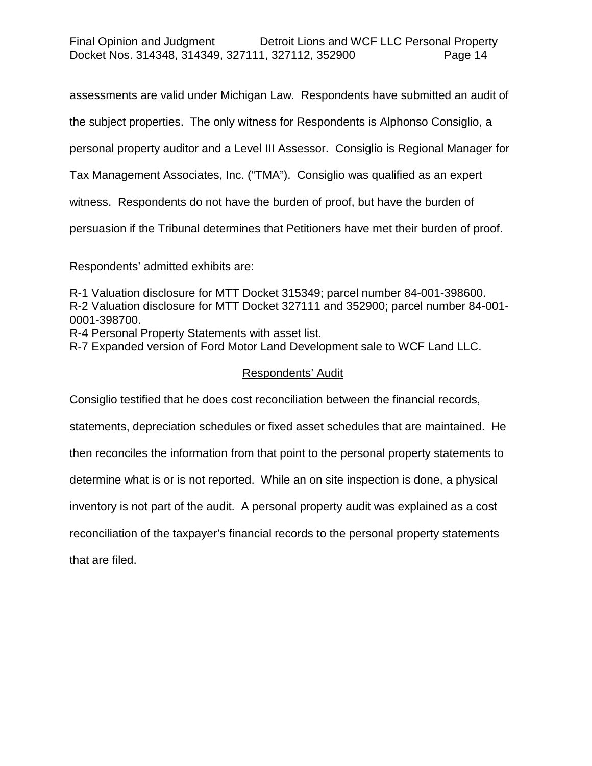## Final Opinion and Judgment Detroit Lions and WCF LLC Personal Property Docket Nos. 314348, 314349, 327111, 327112, 352900 Page 14

assessments are valid under Michigan Law. Respondents have submitted an audit of

the subject properties. The only witness for Respondents is Alphonso Consiglio, a

personal property auditor and a Level III Assessor. Consiglio is Regional Manager for

Tax Management Associates, Inc. ("TMA"). Consiglio was qualified as an expert

witness. Respondents do not have the burden of proof, but have the burden of

persuasion if the Tribunal determines that Petitioners have met their burden of proof.

Respondents' admitted exhibits are:

R-1 Valuation disclosure for MTT Docket 315349; parcel number 84-001-398600. R-2 Valuation disclosure for MTT Docket 327111 and 352900; parcel number 84-001- 0001-398700.

R-4 Personal Property Statements with asset list.

R-7 Expanded version of Ford Motor Land Development sale to WCF Land LLC.

## Respondents' Audit

Consiglio testified that he does cost reconciliation between the financial records,

statements, depreciation schedules or fixed asset schedules that are maintained. He

then reconciles the information from that point to the personal property statements to

determine what is or is not reported. While an on site inspection is done, a physical

inventory is not part of the audit. A personal property audit was explained as a cost

reconciliation of the taxpayer's financial records to the personal property statements

that are filed.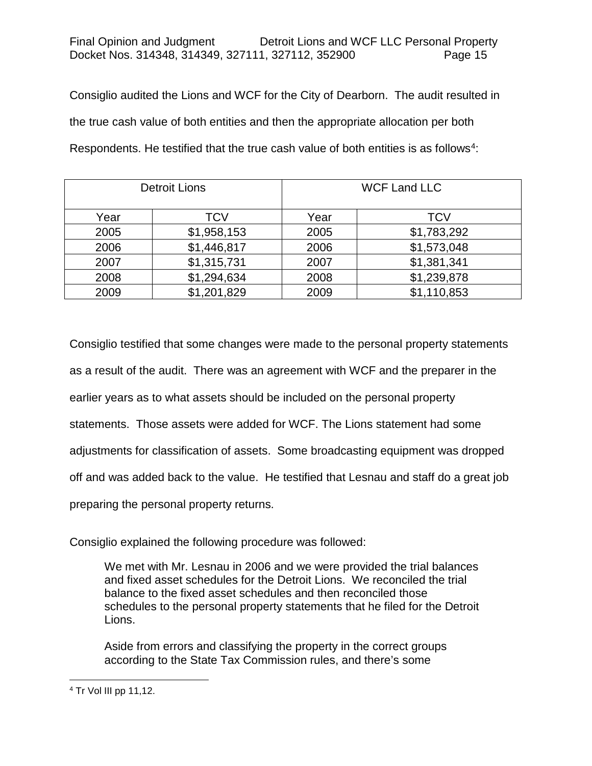Consiglio audited the Lions and WCF for the City of Dearborn. The audit resulted in the true cash value of both entities and then the appropriate allocation per both Respondents. He testified that the true cash value of both entities is as follows<sup>4</sup>:

| <b>Detroit Lions</b> |             |      | <b>WCF Land LLC</b> |
|----------------------|-------------|------|---------------------|
| Year                 | TCV         | Year | <b>TCV</b>          |
| 2005                 | \$1,958,153 | 2005 | \$1,783,292         |
| 2006                 | \$1,446,817 | 2006 | \$1,573,048         |
| 2007                 | \$1,315,731 | 2007 | \$1,381,341         |
| 2008                 | \$1,294,634 | 2008 | \$1,239,878         |
| 2009                 | \$1,201,829 | 2009 | \$1,110,853         |

Consiglio testified that some changes were made to the personal property statements as a result of the audit. There was an agreement with WCF and the preparer in the earlier years as to what assets should be included on the personal property statements. Those assets were added for WCF. The Lions statement had some adjustments for classification of assets. Some broadcasting equipment was dropped off and was added back to the value. He testified that Lesnau and staff do a great job preparing the personal property returns.

Consiglio explained the following procedure was followed:

We met with Mr. Lesnau in 2006 and we were provided the trial balances and fixed asset schedules for the Detroit Lions. We reconciled the trial balance to the fixed asset schedules and then reconciled those schedules to the personal property statements that he filed for the Detroit Lions.

Aside from errors and classifying the property in the correct groups according to the State Tax Commission rules, and there's some

<span id="page-14-0"></span> <sup>4</sup> Tr Vol III pp 11,12.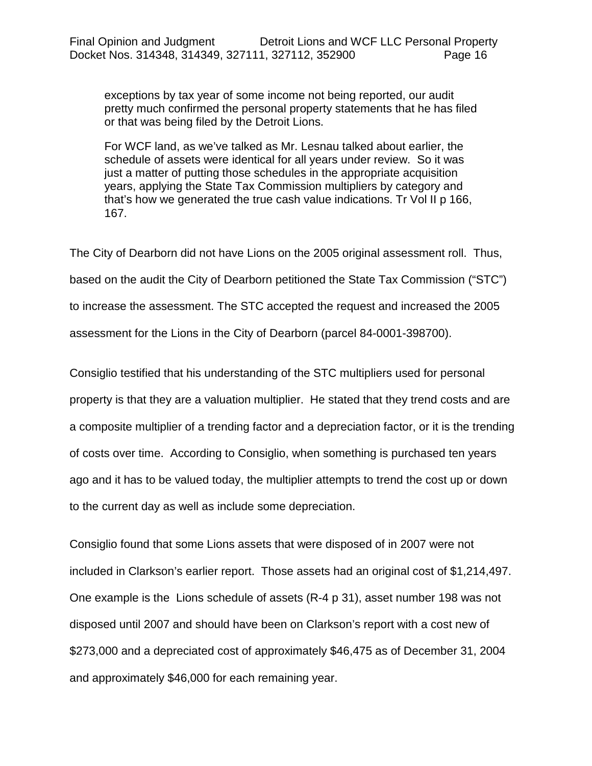exceptions by tax year of some income not being reported, our audit pretty much confirmed the personal property statements that he has filed or that was being filed by the Detroit Lions.

For WCF land, as we've talked as Mr. Lesnau talked about earlier, the schedule of assets were identical for all years under review. So it was just a matter of putting those schedules in the appropriate acquisition years, applying the State Tax Commission multipliers by category and that's how we generated the true cash value indications. Tr Vol II p 166, 167.

The City of Dearborn did not have Lions on the 2005 original assessment roll. Thus, based on the audit the City of Dearborn petitioned the State Tax Commission ("STC") to increase the assessment. The STC accepted the request and increased the 2005 assessment for the Lions in the City of Dearborn (parcel 84-0001-398700).

Consiglio testified that his understanding of the STC multipliers used for personal property is that they are a valuation multiplier. He stated that they trend costs and are a composite multiplier of a trending factor and a depreciation factor, or it is the trending of costs over time. According to Consiglio, when something is purchased ten years ago and it has to be valued today, the multiplier attempts to trend the cost up or down to the current day as well as include some depreciation.

Consiglio found that some Lions assets that were disposed of in 2007 were not included in Clarkson's earlier report. Those assets had an original cost of \$1,214,497. One example is the Lions schedule of assets (R-4 p 31), asset number 198 was not disposed until 2007 and should have been on Clarkson's report with a cost new of \$273,000 and a depreciated cost of approximately \$46,475 as of December 31, 2004 and approximately \$46,000 for each remaining year.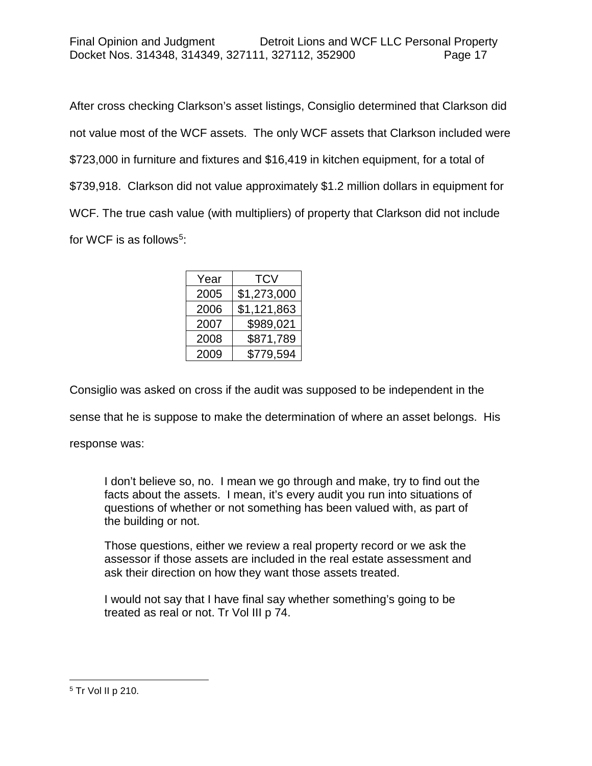After cross checking Clarkson's asset listings, Consiglio determined that Clarkson did not value most of the WCF assets. The only WCF assets that Clarkson included were \$723,000 in furniture and fixtures and \$16,419 in kitchen equipment, for a total of \$739,918. Clarkson did not value approximately \$1.2 million dollars in equipment for WCF. The true cash value (with multipliers) of property that Clarkson did not include for WCF is as follows<sup>5</sup>:

| Year | <b>TCV</b>  |
|------|-------------|
| 2005 | \$1,273,000 |
| 2006 | \$1,121,863 |
| 2007 | \$989,021   |
| 2008 | \$871,789   |
| 2009 | \$779,594   |
|      |             |

Consiglio was asked on cross if the audit was supposed to be independent in the

sense that he is suppose to make the determination of where an asset belongs. His

response was:

I don't believe so, no. I mean we go through and make, try to find out the facts about the assets. I mean, it's every audit you run into situations of questions of whether or not something has been valued with, as part of the building or not.

Those questions, either we review a real property record or we ask the assessor if those assets are included in the real estate assessment and ask their direction on how they want those assets treated.

I would not say that I have final say whether something's going to be treated as real or not. Tr Vol III p 74.

<span id="page-16-0"></span> <sup>5</sup> Tr Vol II p 210.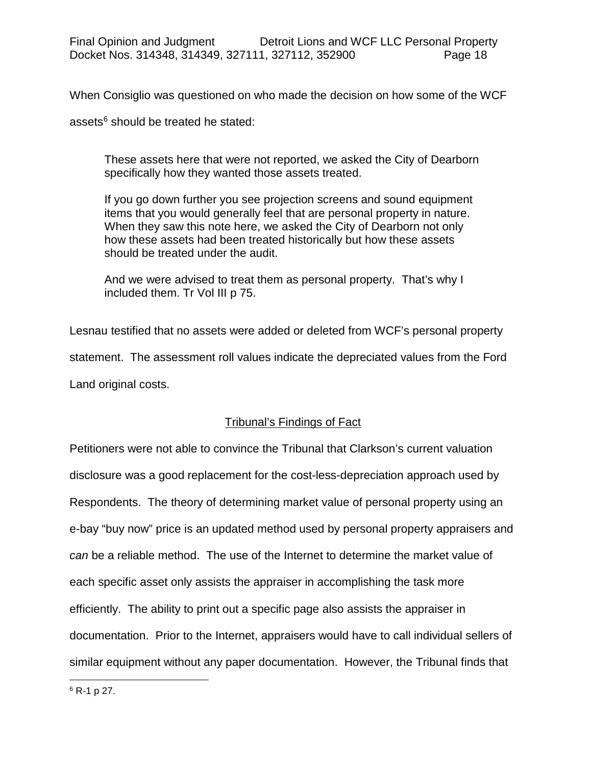When Consiglio was questioned on who made the decision on how some of the WCF

assets $6$  should be treated he stated:

These assets here that were not reported, we asked the City of Dearborn specifically how they wanted those assets treated.

If you go down further you see projection screens and sound equipment items that you would generally feel that are personal property in nature. When they saw this note here, we asked the City of Dearborn not only how these assets had been treated historically but how these assets should be treated under the audit.

And we were advised to treat them as personal property. That's why I included them. Tr Vol III p 75.

Lesnau testified that no assets were added or deleted from WCF's personal property statement. The assessment roll values indicate the depreciated values from the Ford Land original costs.

## Tribunal's Findings of Fact

<span id="page-17-0"></span>Petitioners were not able to convince the Tribunal that Clarkson's current valuation disclosure was a good replacement for the cost-less-depreciation approach used by Respondents. The theory of determining market value of personal property using an e-bay "buy now" price is an updated method used by personal property appraisers and *can* be a reliable method. The use of the Internet to determine the market value of each specific asset only assists the appraiser in accomplishing the task more efficiently. The ability to print out a specific page also assists the appraiser in documentation. Prior to the Internet, appraisers would have to call individual sellers of similar equipment without any paper documentation. However, the Tribunal finds that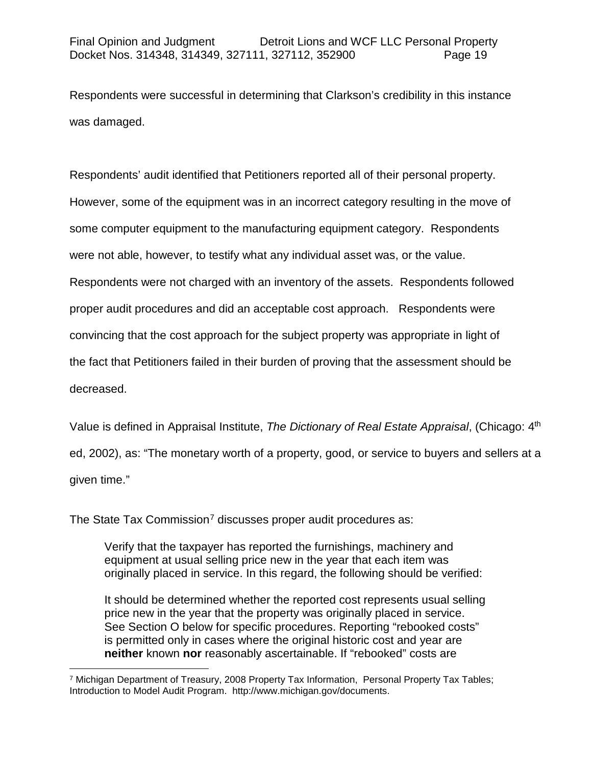Respondents were successful in determining that Clarkson's credibility in this instance was damaged.

Respondents' audit identified that Petitioners reported all of their personal property. However, some of the equipment was in an incorrect category resulting in the move of some computer equipment to the manufacturing equipment category. Respondents were not able, however, to testify what any individual asset was, or the value. Respondents were not charged with an inventory of the assets. Respondents followed proper audit procedures and did an acceptable cost approach. Respondents were convincing that the cost approach for the subject property was appropriate in light of the fact that Petitioners failed in their burden of proving that the assessment should be decreased.

Value is defined in Appraisal Institute, *The Dictionary of Real Estate Appraisal*, (Chicago: 4th ed, 2002), as: "The monetary worth of a property, good, or service to buyers and sellers at a given time."

The State Tax Commission<sup>[7](#page-18-0)</sup> discusses proper audit procedures as:

Verify that the taxpayer has reported the furnishings, machinery and equipment at usual selling price new in the year that each item was originally placed in service. In this regard, the following should be verified:

It should be determined whether the reported cost represents usual selling price new in the year that the property was originally placed in service. See Section O below for specific procedures. Reporting "rebooked costs" is permitted only in cases where the original historic cost and year are **neither** known **nor** reasonably ascertainable. If "rebooked" costs are

<span id="page-18-0"></span> <sup>7</sup> Michigan Department of Treasury, 2008 Property Tax Information, Personal Property Tax Tables; Introduction to Model Audit Program. http://www.michigan.gov/documents.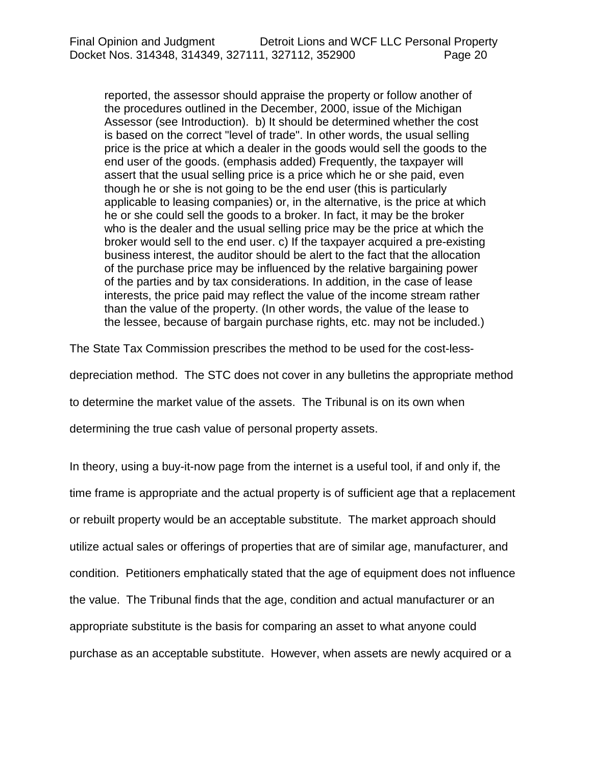reported, the assessor should appraise the property or follow another of the procedures outlined in the December, 2000, issue of the Michigan Assessor (see Introduction). b) It should be determined whether the cost is based on the correct "level of trade". In other words, the usual selling price is the price at which a dealer in the goods would sell the goods to the end user of the goods. (emphasis added) Frequently, the taxpayer will assert that the usual selling price is a price which he or she paid, even though he or she is not going to be the end user (this is particularly applicable to leasing companies) or, in the alternative, is the price at which he or she could sell the goods to a broker. In fact, it may be the broker who is the dealer and the usual selling price may be the price at which the broker would sell to the end user. c) If the taxpayer acquired a pre-existing business interest, the auditor should be alert to the fact that the allocation of the purchase price may be influenced by the relative bargaining power of the parties and by tax considerations. In addition, in the case of lease interests, the price paid may reflect the value of the income stream rather than the value of the property. (In other words, the value of the lease to the lessee, because of bargain purchase rights, etc. may not be included.)

The State Tax Commission prescribes the method to be used for the cost-less-

depreciation method. The STC does not cover in any bulletins the appropriate method

to determine the market value of the assets. The Tribunal is on its own when

determining the true cash value of personal property assets.

In theory, using a buy-it-now page from the internet is a useful tool, if and only if, the time frame is appropriate and the actual property is of sufficient age that a replacement or rebuilt property would be an acceptable substitute. The market approach should utilize actual sales or offerings of properties that are of similar age, manufacturer, and condition. Petitioners emphatically stated that the age of equipment does not influence the value. The Tribunal finds that the age, condition and actual manufacturer or an appropriate substitute is the basis for comparing an asset to what anyone could purchase as an acceptable substitute. However, when assets are newly acquired or a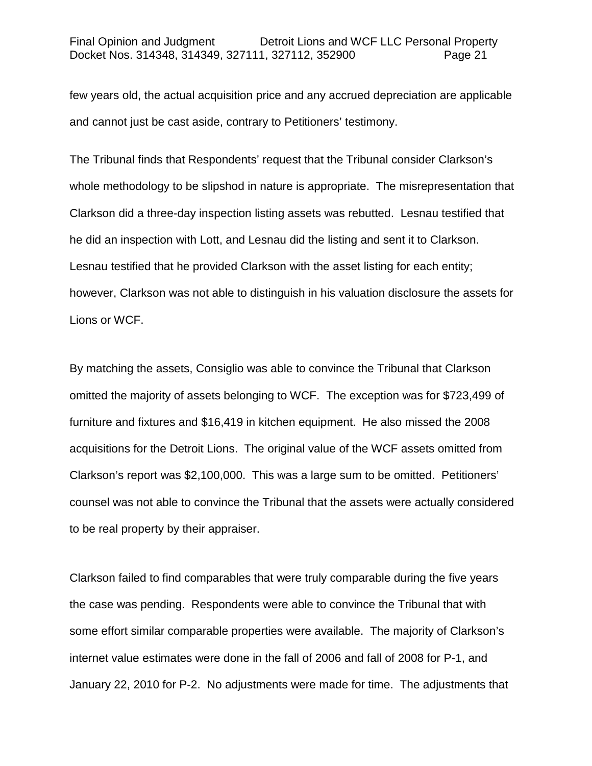few years old, the actual acquisition price and any accrued depreciation are applicable and cannot just be cast aside, contrary to Petitioners' testimony.

The Tribunal finds that Respondents' request that the Tribunal consider Clarkson's whole methodology to be slipshod in nature is appropriate. The misrepresentation that Clarkson did a three-day inspection listing assets was rebutted. Lesnau testified that he did an inspection with Lott, and Lesnau did the listing and sent it to Clarkson. Lesnau testified that he provided Clarkson with the asset listing for each entity; however, Clarkson was not able to distinguish in his valuation disclosure the assets for Lions or WCF.

By matching the assets, Consiglio was able to convince the Tribunal that Clarkson omitted the majority of assets belonging to WCF. The exception was for \$723,499 of furniture and fixtures and \$16,419 in kitchen equipment. He also missed the 2008 acquisitions for the Detroit Lions. The original value of the WCF assets omitted from Clarkson's report was \$2,100,000. This was a large sum to be omitted. Petitioners' counsel was not able to convince the Tribunal that the assets were actually considered to be real property by their appraiser.

Clarkson failed to find comparables that were truly comparable during the five years the case was pending. Respondents were able to convince the Tribunal that with some effort similar comparable properties were available. The majority of Clarkson's internet value estimates were done in the fall of 2006 and fall of 2008 for P-1, and January 22, 2010 for P-2. No adjustments were made for time. The adjustments that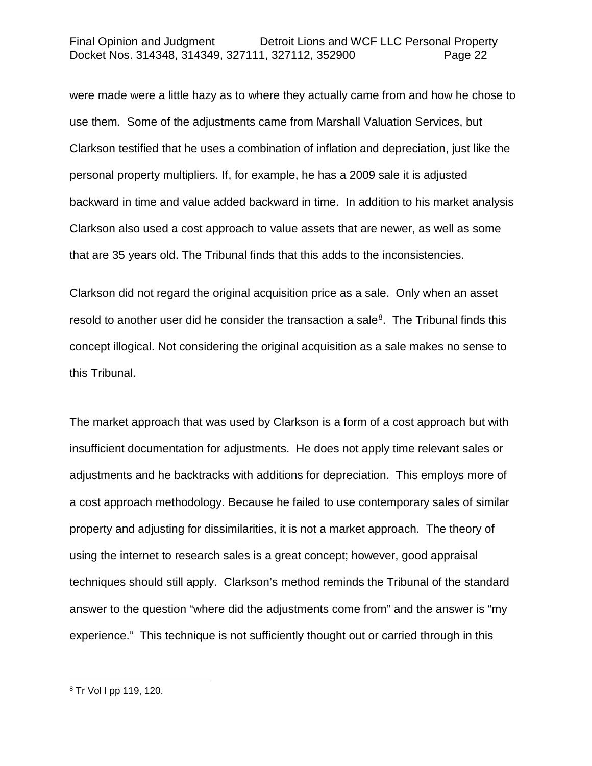were made were a little hazy as to where they actually came from and how he chose to use them. Some of the adjustments came from Marshall Valuation Services, but Clarkson testified that he uses a combination of inflation and depreciation, just like the personal property multipliers. If, for example, he has a 2009 sale it is adjusted backward in time and value added backward in time. In addition to his market analysis Clarkson also used a cost approach to value assets that are newer, as well as some that are 35 years old. The Tribunal finds that this adds to the inconsistencies.

Clarkson did not regard the original acquisition price as a sale. Only when an asset resold to another user did he consider the transaction a sale<sup>8</sup>. The Tribunal finds this concept illogical. Not considering the original acquisition as a sale makes no sense to this Tribunal.

The market approach that was used by Clarkson is a form of a cost approach but with insufficient documentation for adjustments. He does not apply time relevant sales or adjustments and he backtracks with additions for depreciation. This employs more of a cost approach methodology. Because he failed to use contemporary sales of similar property and adjusting for dissimilarities, it is not a market approach. The theory of using the internet to research sales is a great concept; however, good appraisal techniques should still apply. Clarkson's method reminds the Tribunal of the standard answer to the question "where did the adjustments come from" and the answer is "my experience." This technique is not sufficiently thought out or carried through in this

<span id="page-21-0"></span> <sup>8</sup> Tr Vol I pp 119, 120.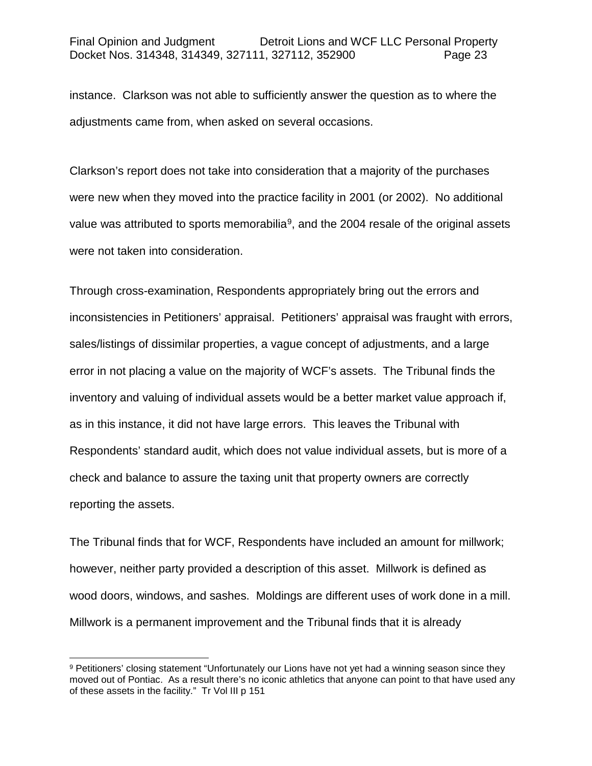instance. Clarkson was not able to sufficiently answer the question as to where the adjustments came from, when asked on several occasions.

Clarkson's report does not take into consideration that a majority of the purchases were new when they moved into the practice facility in 2001 (or 2002). No additional value was attributed to sports memorabilia<sup>9</sup>, and the 2004 resale of the original assets were not taken into consideration.

Through cross-examination, Respondents appropriately bring out the errors and inconsistencies in Petitioners' appraisal. Petitioners' appraisal was fraught with errors, sales/listings of dissimilar properties, a vague concept of adjustments, and a large error in not placing a value on the majority of WCF's assets. The Tribunal finds the inventory and valuing of individual assets would be a better market value approach if, as in this instance, it did not have large errors. This leaves the Tribunal with Respondents' standard audit, which does not value individual assets, but is more of a check and balance to assure the taxing unit that property owners are correctly reporting the assets.

The Tribunal finds that for WCF, Respondents have included an amount for millwork; however, neither party provided a description of this asset. Millwork is defined as wood doors, windows, and sashes. Moldings are different uses of work done in a mill. Millwork is a permanent improvement and the Tribunal finds that it is already

<span id="page-22-0"></span><sup>9</sup> Petitioners' closing statement "Unfortunately our Lions have not yet had a winning season since they moved out of Pontiac. As a result there's no iconic athletics that anyone can point to that have used any of these assets in the facility." Tr Vol III p 151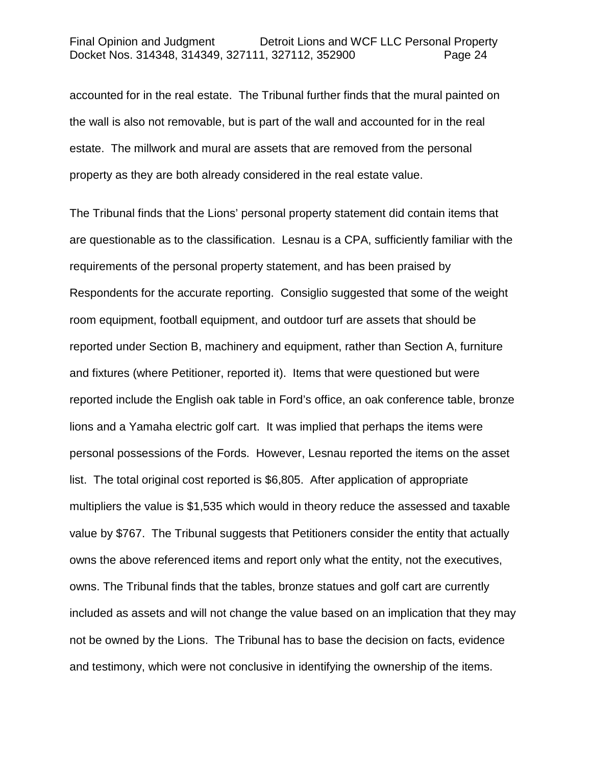accounted for in the real estate. The Tribunal further finds that the mural painted on the wall is also not removable, but is part of the wall and accounted for in the real estate. The millwork and mural are assets that are removed from the personal property as they are both already considered in the real estate value.

The Tribunal finds that the Lions' personal property statement did contain items that are questionable as to the classification. Lesnau is a CPA, sufficiently familiar with the requirements of the personal property statement, and has been praised by Respondents for the accurate reporting. Consiglio suggested that some of the weight room equipment, football equipment, and outdoor turf are assets that should be reported under Section B, machinery and equipment, rather than Section A, furniture and fixtures (where Petitioner, reported it). Items that were questioned but were reported include the English oak table in Ford's office, an oak conference table, bronze lions and a Yamaha electric golf cart. It was implied that perhaps the items were personal possessions of the Fords. However, Lesnau reported the items on the asset list. The total original cost reported is \$6,805. After application of appropriate multipliers the value is \$1,535 which would in theory reduce the assessed and taxable value by \$767. The Tribunal suggests that Petitioners consider the entity that actually owns the above referenced items and report only what the entity, not the executives, owns. The Tribunal finds that the tables, bronze statues and golf cart are currently included as assets and will not change the value based on an implication that they may not be owned by the Lions. The Tribunal has to base the decision on facts, evidence and testimony, which were not conclusive in identifying the ownership of the items.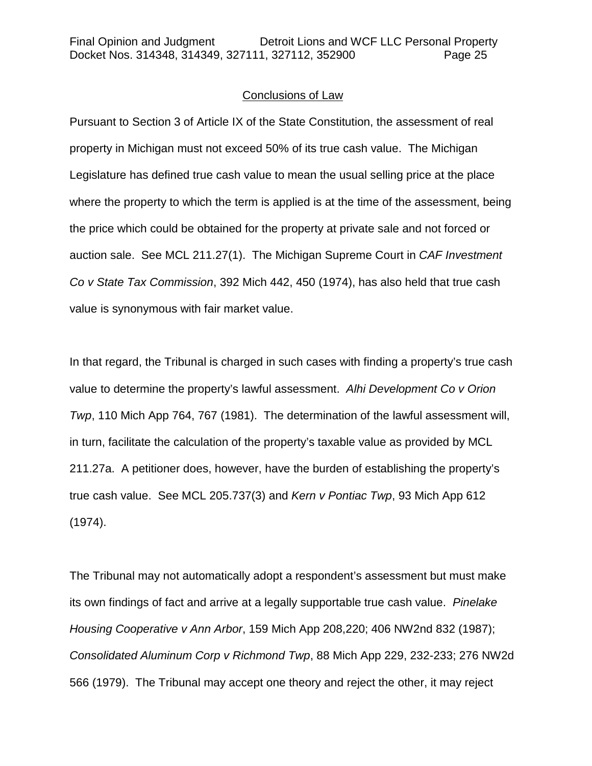### Conclusions of Law

Pursuant to Section 3 of Article IX of the State Constitution, the assessment of real property in Michigan must not exceed 50% of its true cash value. The Michigan Legislature has defined true cash value to mean the usual selling price at the place where the property to which the term is applied is at the time of the assessment, being the price which could be obtained for the property at private sale and not forced or auction sale. See MCL 211.27(1). The Michigan Supreme Court in *CAF Investment Co v State Tax Commission*, 392 Mich 442, 450 (1974), has also held that true cash value is synonymous with fair market value.

In that regard, the Tribunal is charged in such cases with finding a property's true cash value to determine the property's lawful assessment. *Alhi Development Co v Orion Twp*, 110 Mich App 764, 767 (1981). The determination of the lawful assessment will, in turn, facilitate the calculation of the property's taxable value as provided by MCL 211.27a. A petitioner does, however, have the burden of establishing the property's true cash value. See MCL 205.737(3) and *Kern v Pontiac Twp*, 93 Mich App 612 (1974).

The Tribunal may not automatically adopt a respondent's assessment but must make its own findings of fact and arrive at a legally supportable true cash value. *Pinelake Housing Cooperative v Ann Arbor*, 159 Mich App 208,220; 406 NW2nd 832 (1987); *Consolidated Aluminum Corp v Richmond Twp*, 88 Mich App 229, 232-233; 276 NW2d 566 (1979). The Tribunal may accept one theory and reject the other, it may reject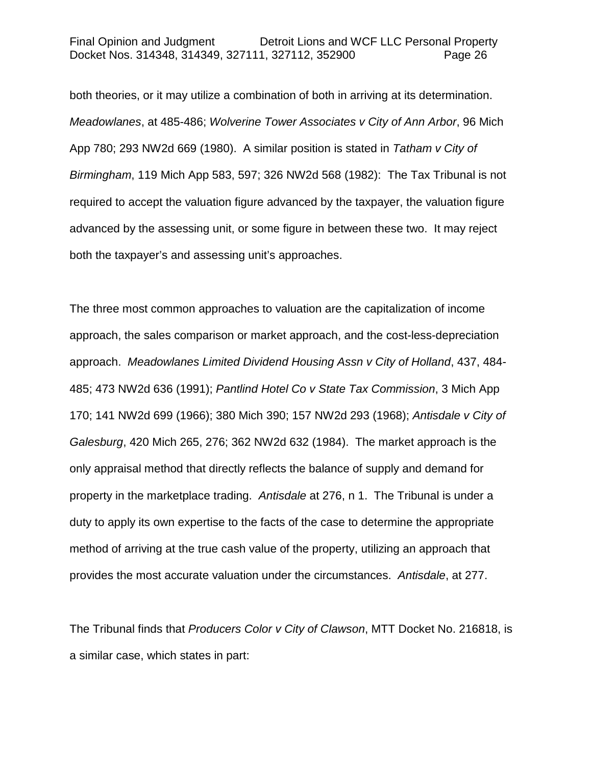both theories, or it may utilize a combination of both in arriving at its determination. *Meadowlanes*, at 485-486; *Wolverine Tower Associates v City of Ann Arbor*, 96 Mich App 780; 293 NW2d 669 (1980). A similar position is stated in *Tatham v City of Birmingham*, 119 Mich App 583, 597; 326 NW2d 568 (1982): The Tax Tribunal is not required to accept the valuation figure advanced by the taxpayer, the valuation figure advanced by the assessing unit, or some figure in between these two. It may reject both the taxpayer's and assessing unit's approaches.

The three most common approaches to valuation are the capitalization of income approach, the sales comparison or market approach, and the cost-less-depreciation approach. *Meadowlanes Limited Dividend Housing Assn v City of Holland*, 437, 484- 485; 473 NW2d 636 (1991); *Pantlind Hotel Co v State Tax Commission*, 3 Mich App 170; 141 NW2d 699 (1966); 380 Mich 390; 157 NW2d 293 (1968); *Antisdale v City of Galesburg*, 420 Mich 265, 276; 362 NW2d 632 (1984). The market approach is the only appraisal method that directly reflects the balance of supply and demand for property in the marketplace trading. *Antisdale* at 276, n 1. The Tribunal is under a duty to apply its own expertise to the facts of the case to determine the appropriate method of arriving at the true cash value of the property, utilizing an approach that provides the most accurate valuation under the circumstances. *Antisdale*, at 277.

The Tribunal finds that *Producers Color v City of Clawson*, MTT Docket No. 216818, is a similar case, which states in part: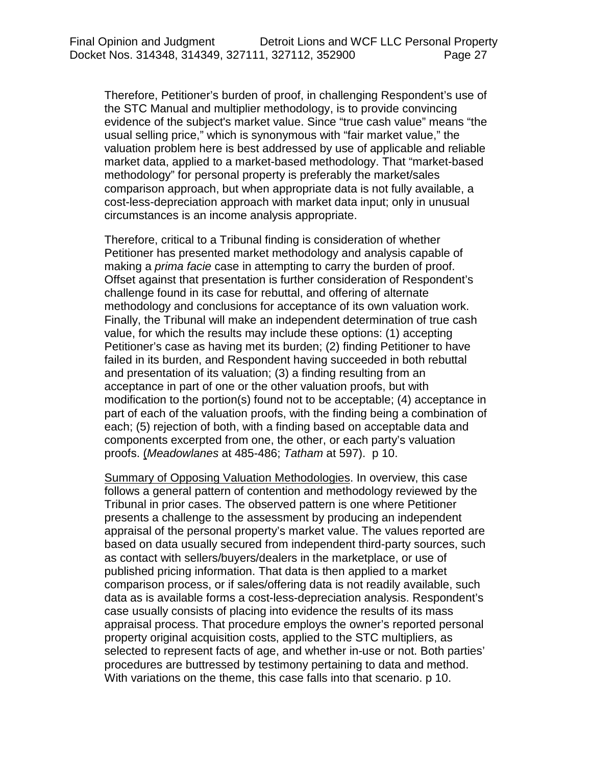Therefore, Petitioner's burden of proof, in challenging Respondent's use of the STC Manual and multiplier methodology, is to provide convincing evidence of the subject's market value. Since "true cash value" means "the usual selling price," which is synonymous with "fair market value," the valuation problem here is best addressed by use of applicable and reliable market data, applied to a market-based methodology. That "market-based methodology" for personal property is preferably the market/sales comparison approach, but when appropriate data is not fully available, a cost-less-depreciation approach with market data input; only in unusual circumstances is an income analysis appropriate.

Therefore, critical to a Tribunal finding is consideration of whether Petitioner has presented market methodology and analysis capable of making a *prima facie* case in attempting to carry the burden of proof. Offset against that presentation is further consideration of Respondent's challenge found in its case for rebuttal, and offering of alternate methodology and conclusions for acceptance of its own valuation work. Finally, the Tribunal will make an independent determination of true cash value, for which the results may include these options: (1) accepting Petitioner's case as having met its burden; (2) finding Petitioner to have failed in its burden, and Respondent having succeeded in both rebuttal and presentation of its valuation; (3) a finding resulting from an acceptance in part of one or the other valuation proofs, but with modification to the portion(s) found not to be acceptable; (4) acceptance in part of each of the valuation proofs, with the finding being a combination of each; (5) rejection of both, with a finding based on acceptable data and components excerpted from one, the other, or each party's valuation proofs. (*Meadowlanes* at 485-486; *Tatham* at 597). p 10.

Summary of Opposing Valuation Methodologies. In overview, this case follows a general pattern of contention and methodology reviewed by the Tribunal in prior cases. The observed pattern is one where Petitioner presents a challenge to the assessment by producing an independent appraisal of the personal property's market value. The values reported are based on data usually secured from independent third-party sources, such as contact with sellers/buyers/dealers in the marketplace, or use of published pricing information. That data is then applied to a market comparison process, or if sales/offering data is not readily available, such data as is available forms a cost-less-depreciation analysis. Respondent's case usually consists of placing into evidence the results of its mass appraisal process. That procedure employs the owner's reported personal property original acquisition costs, applied to the STC multipliers, as selected to represent facts of age, and whether in-use or not. Both parties' procedures are buttressed by testimony pertaining to data and method. With variations on the theme, this case falls into that scenario. p 10.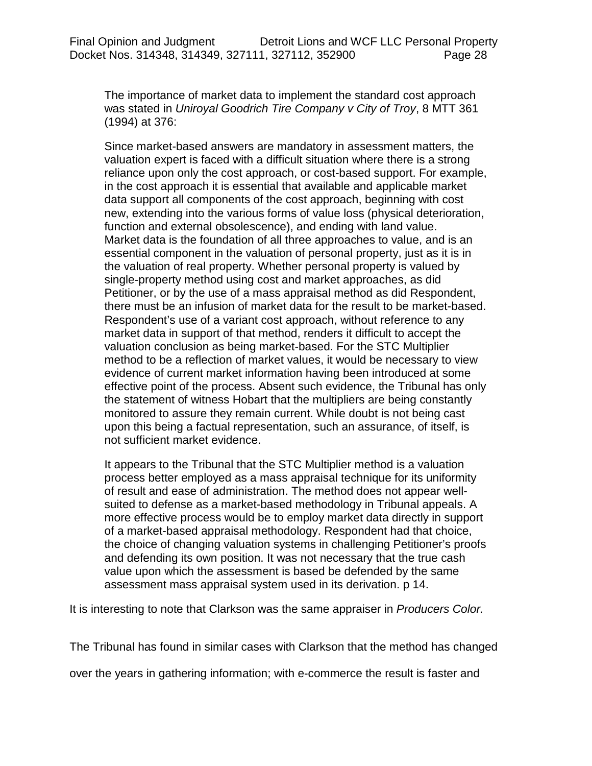The importance of market data to implement the standard cost approach was stated in *Uniroyal Goodrich Tire Company v City of Troy*, 8 MTT 361 (1994) at 376:

Since market-based answers are mandatory in assessment matters, the valuation expert is faced with a difficult situation where there is a strong reliance upon only the cost approach, or cost-based support. For example, in the cost approach it is essential that available and applicable market data support all components of the cost approach, beginning with cost new, extending into the various forms of value loss (physical deterioration, function and external obsolescence), and ending with land value. Market data is the foundation of all three approaches to value, and is an essential component in the valuation of personal property, just as it is in the valuation of real property. Whether personal property is valued by single-property method using cost and market approaches, as did Petitioner, or by the use of a mass appraisal method as did Respondent, there must be an infusion of market data for the result to be market-based. Respondent's use of a variant cost approach, without reference to any market data in support of that method, renders it difficult to accept the valuation conclusion as being market-based. For the STC Multiplier method to be a reflection of market values, it would be necessary to view evidence of current market information having been introduced at some effective point of the process. Absent such evidence, the Tribunal has only the statement of witness Hobart that the multipliers are being constantly monitored to assure they remain current. While doubt is not being cast upon this being a factual representation, such an assurance, of itself, is not sufficient market evidence.

It appears to the Tribunal that the STC Multiplier method is a valuation process better employed as a mass appraisal technique for its uniformity of result and ease of administration. The method does not appear wellsuited to defense as a market-based methodology in Tribunal appeals. A more effective process would be to employ market data directly in support of a market-based appraisal methodology. Respondent had that choice, the choice of changing valuation systems in challenging Petitioner's proofs and defending its own position. It was not necessary that the true cash value upon which the assessment is based be defended by the same assessment mass appraisal system used in its derivation. p 14.

It is interesting to note that Clarkson was the same appraiser in *Producers Color.*

The Tribunal has found in similar cases with Clarkson that the method has changed

over the years in gathering information; with e-commerce the result is faster and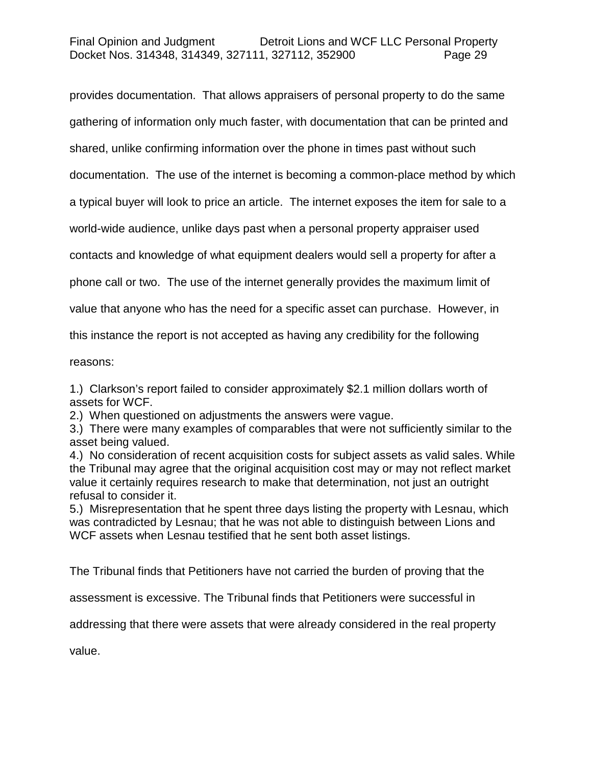## Final Opinion and Judgment Detroit Lions and WCF LLC Personal Property Docket Nos. 314348, 314349, 327111, 327112, 352900 Page 29

provides documentation. That allows appraisers of personal property to do the same gathering of information only much faster, with documentation that can be printed and shared, unlike confirming information over the phone in times past without such documentation. The use of the internet is becoming a common-place method by which a typical buyer will look to price an article. The internet exposes the item for sale to a world-wide audience, unlike days past when a personal property appraiser used contacts and knowledge of what equipment dealers would sell a property for after a phone call or two. The use of the internet generally provides the maximum limit of value that anyone who has the need for a specific asset can purchase. However, in this instance the report is not accepted as having any credibility for the following

reasons:

1.) Clarkson's report failed to consider approximately \$2.1 million dollars worth of assets for WCF.

2.) When questioned on adjustments the answers were vague.

3.) There were many examples of comparables that were not sufficiently similar to the asset being valued.

4.) No consideration of recent acquisition costs for subject assets as valid sales. While the Tribunal may agree that the original acquisition cost may or may not reflect market value it certainly requires research to make that determination, not just an outright refusal to consider it.

5.) Misrepresentation that he spent three days listing the property with Lesnau, which was contradicted by Lesnau; that he was not able to distinguish between Lions and WCF assets when Lesnau testified that he sent both asset listings.

The Tribunal finds that Petitioners have not carried the burden of proving that the

assessment is excessive. The Tribunal finds that Petitioners were successful in

addressing that there were assets that were already considered in the real property

value.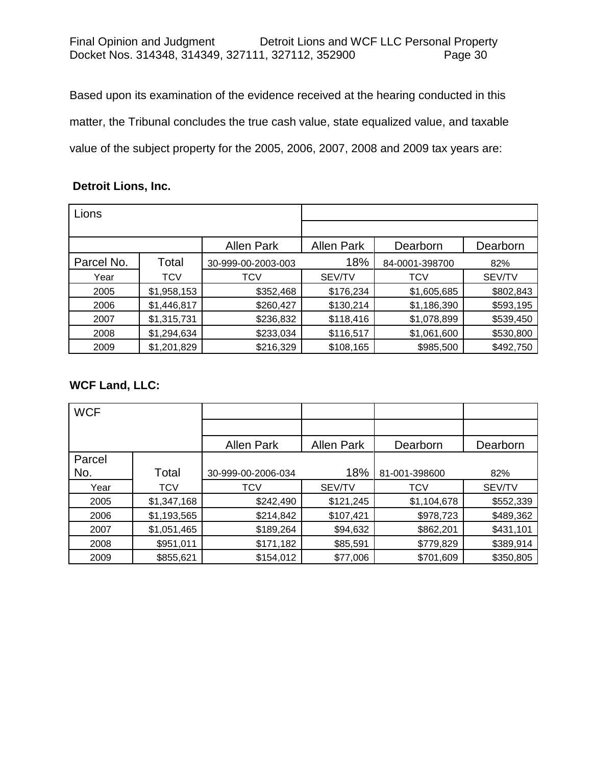Based upon its examination of the evidence received at the hearing conducted in this matter, the Tribunal concludes the true cash value, state equalized value, and taxable value of the subject property for the 2005, 2006, 2007, 2008 and 2009 tax years are:

## **Detroit Lions, Inc.**

| Lions      |             |                    |                   |                |           |
|------------|-------------|--------------------|-------------------|----------------|-----------|
|            |             |                    |                   |                |           |
|            |             | <b>Allen Park</b>  | <b>Allen Park</b> | Dearborn       | Dearborn  |
| Parcel No. | Total       | 30-999-00-2003-003 | 18%               | 84-0001-398700 | 82%       |
| Year       | <b>TCV</b>  | TCV                | SEV/TV            | TCV            | SEV/TV    |
| 2005       | \$1,958,153 | \$352,468          | \$176,234         | \$1,605,685    | \$802,843 |
| 2006       | \$1,446,817 | \$260,427          | \$130,214         | \$1,186,390    | \$593,195 |
| 2007       | \$1,315,731 | \$236,832          | \$118,416         | \$1,078,899    | \$539,450 |
| 2008       | \$1,294,634 | \$233,034          | \$116,517         | \$1,061,600    | \$530,800 |
| 2009       | \$1,201,829 | \$216,329          | \$108,165         | \$985,500      | \$492,750 |

# **WCF Land, LLC:**

| <b>WCF</b> |             |                    |                   |               |           |
|------------|-------------|--------------------|-------------------|---------------|-----------|
|            |             |                    |                   |               |           |
|            |             | <b>Allen Park</b>  | <b>Allen Park</b> | Dearborn      | Dearborn  |
| Parcel     |             |                    |                   |               |           |
| No.        | Total       | 30-999-00-2006-034 | 18%               | 81-001-398600 | 82%       |
| Year       | <b>TCV</b>  | <b>TCV</b>         | <b>SEV/TV</b>     | <b>TCV</b>    | SEV/TV    |
| 2005       | \$1,347,168 | \$242,490          | \$121,245         | \$1,104,678   | \$552,339 |
| 2006       | \$1,193,565 | \$214,842          | \$107,421         | \$978,723     | \$489,362 |
| 2007       | \$1,051,465 | \$189,264          | \$94,632          | \$862,201     | \$431,101 |
| 2008       | \$951,011   | \$171,182          | \$85,591          | \$779,829     | \$389,914 |
| 2009       | \$855,621   | \$154,012          | \$77,006          | \$701,609     | \$350,805 |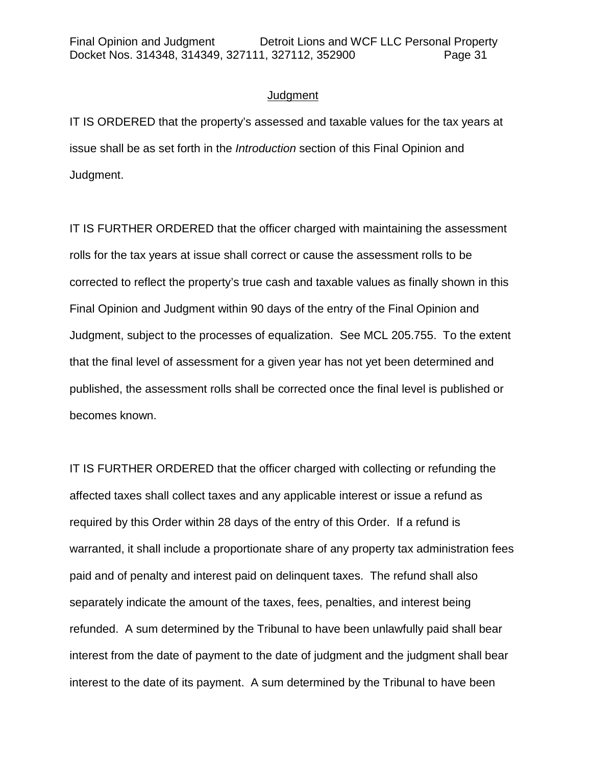## **Judgment**

IT IS ORDERED that the property's assessed and taxable values for the tax years at issue shall be as set forth in the *Introduction* section of this Final Opinion and Judgment.

IT IS FURTHER ORDERED that the officer charged with maintaining the assessment rolls for the tax years at issue shall correct or cause the assessment rolls to be corrected to reflect the property's true cash and taxable values as finally shown in this Final Opinion and Judgment within 90 days of the entry of the Final Opinion and Judgment, subject to the processes of equalization. See MCL 205.755. To the extent that the final level of assessment for a given year has not yet been determined and published, the assessment rolls shall be corrected once the final level is published or becomes known.

IT IS FURTHER ORDERED that the officer charged with collecting or refunding the affected taxes shall collect taxes and any applicable interest or issue a refund as required by this Order within 28 days of the entry of this Order. If a refund is warranted, it shall include a proportionate share of any property tax administration fees paid and of penalty and interest paid on delinquent taxes. The refund shall also separately indicate the amount of the taxes, fees, penalties, and interest being refunded. A sum determined by the Tribunal to have been unlawfully paid shall bear interest from the date of payment to the date of judgment and the judgment shall bear interest to the date of its payment. A sum determined by the Tribunal to have been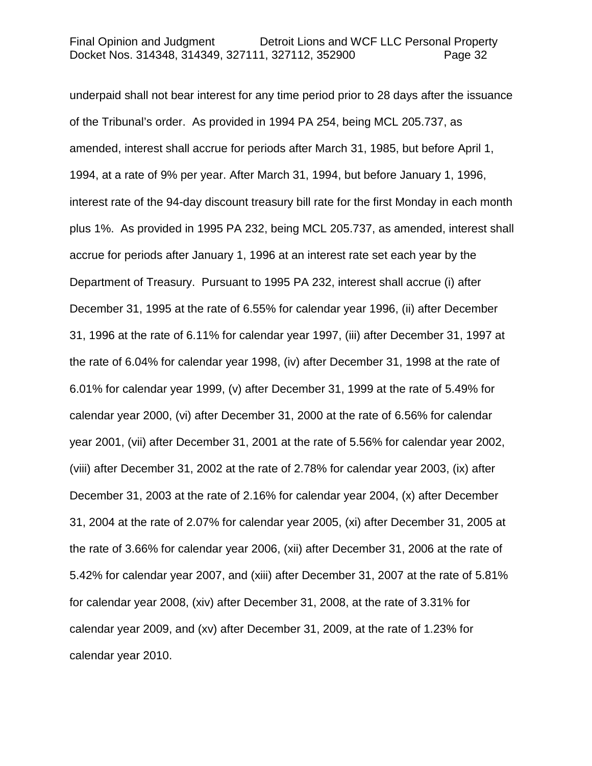underpaid shall not bear interest for any time period prior to 28 days after the issuance of the Tribunal's order. As provided in 1994 PA 254, being MCL 205.737, as amended, interest shall accrue for periods after March 31, 1985, but before April 1, 1994, at a rate of 9% per year. After March 31, 1994, but before January 1, 1996, interest rate of the 94-day discount treasury bill rate for the first Monday in each month plus 1%. As provided in 1995 PA 232, being MCL 205.737, as amended, interest shall accrue for periods after January 1, 1996 at an interest rate set each year by the Department of Treasury. Pursuant to 1995 PA 232, interest shall accrue (i) after December 31, 1995 at the rate of 6.55% for calendar year 1996, (ii) after December 31, 1996 at the rate of 6.11% for calendar year 1997, (iii) after December 31, 1997 at the rate of 6.04% for calendar year 1998, (iv) after December 31, 1998 at the rate of 6.01% for calendar year 1999, (v) after December 31, 1999 at the rate of 5.49% for calendar year 2000, (vi) after December 31, 2000 at the rate of 6.56% for calendar year 2001, (vii) after December 31, 2001 at the rate of 5.56% for calendar year 2002, (viii) after December 31, 2002 at the rate of 2.78% for calendar year 2003, (ix) after December 31, 2003 at the rate of 2.16% for calendar year 2004, (x) after December 31, 2004 at the rate of 2.07% for calendar year 2005, (xi) after December 31, 2005 at the rate of 3.66% for calendar year 2006, (xii) after December 31, 2006 at the rate of 5.42% for calendar year 2007, and (xiii) after December 31, 2007 at the rate of 5.81% for calendar year 2008, (xiv) after December 31, 2008, at the rate of 3.31% for calendar year 2009, and (xv) after December 31, 2009, at the rate of 1.23% for calendar year 2010.